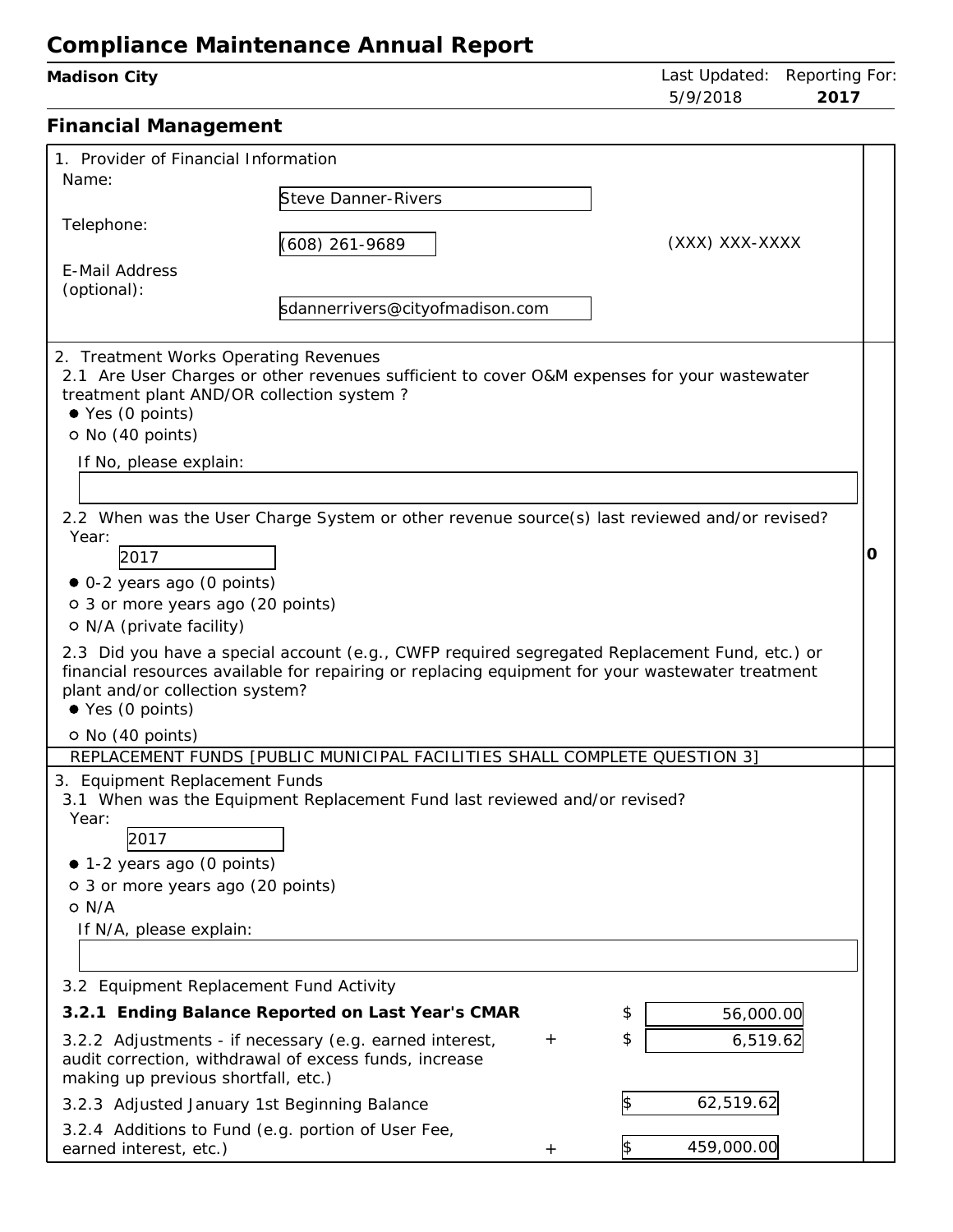| Madison City                                                                                                                                                                                                                                                                                                                                    |                                                                                                                                                                                                                                                                                                                                                                                                  | Last Updated: Reporting For<br>5/9/2018<br>2017       |   |
|-------------------------------------------------------------------------------------------------------------------------------------------------------------------------------------------------------------------------------------------------------------------------------------------------------------------------------------------------|--------------------------------------------------------------------------------------------------------------------------------------------------------------------------------------------------------------------------------------------------------------------------------------------------------------------------------------------------------------------------------------------------|-------------------------------------------------------|---|
| <b>Financial Management</b>                                                                                                                                                                                                                                                                                                                     |                                                                                                                                                                                                                                                                                                                                                                                                  |                                                       |   |
| 1. Provider of Financial Information<br>Name:                                                                                                                                                                                                                                                                                                   |                                                                                                                                                                                                                                                                                                                                                                                                  |                                                       |   |
| Telephone:                                                                                                                                                                                                                                                                                                                                      | <b>Steve Danner-Rivers</b><br>$(608)$ 261-9689                                                                                                                                                                                                                                                                                                                                                   | (XXX) XXX-XXXX                                        |   |
| E-Mail Address<br>(optional):                                                                                                                                                                                                                                                                                                                   | sdannerrivers@cityofmadison.com                                                                                                                                                                                                                                                                                                                                                                  |                                                       |   |
| 2. Treatment Works Operating Revenues<br>treatment plant AND/OR collection system?<br>● Yes (0 points)<br>O No (40 points)<br>If No, please explain:<br>Year:<br>2017<br>• 0-2 years ago (0 points)<br>o 3 or more years ago (20 points)<br>O N/A (private facility)<br>plant and/or collection system?<br>● Yes (0 points)<br>O No (40 points) | 2.1 Are User Charges or other revenues sufficient to cover O&M expenses for your wastewater<br>2.2 When was the User Charge System or other revenue source(s) last reviewed and/or revised?<br>2.3 Did you have a special account (e.g., CWFP required segregated Replacement Fund, etc.) or<br>financial resources available for repairing or replacing equipment for your wastewater treatment |                                                       | O |
| 3. Equipment Replacement Funds<br>Year:<br>2017<br>• 1-2 years ago (0 points)<br>o 3 or more years ago (20 points)<br>$O$ N/A<br>If N/A, please explain:                                                                                                                                                                                        | REPLACEMENT FUNDS [PUBLIC MUNICIPAL FACILITIES SHALL COMPLETE QUESTION 3]<br>3.1 When was the Equipment Replacement Fund last reviewed and/or revised?                                                                                                                                                                                                                                           |                                                       |   |
| 3.2 Equipment Replacement Fund Activity<br>making up previous shortfall, etc.)<br>3.2.3 Adjusted January 1st Beginning Balance                                                                                                                                                                                                                  | 3.2.1 Ending Balance Reported on Last Year's CMAR<br>3.2.2 Adjustments - if necessary (e.g. earned interest,<br>$^{+}$<br>audit correction, withdrawal of excess funds, increase                                                                                                                                                                                                                 | \$<br>56,000.00<br>\$<br>6,519.62<br>62,519.62<br>1\$ |   |
| 2.2.4 Additions to Fund (e.g. portion of Hsor Foo                                                                                                                                                                                                                                                                                               |                                                                                                                                                                                                                                                                                                                                                                                                  |                                                       |   |

| 3.2.4 Additions to Fund (e.g. portion of User Fee, |  |            |
|----------------------------------------------------|--|------------|
| earned interest, etc.)                             |  | 459,000.00 |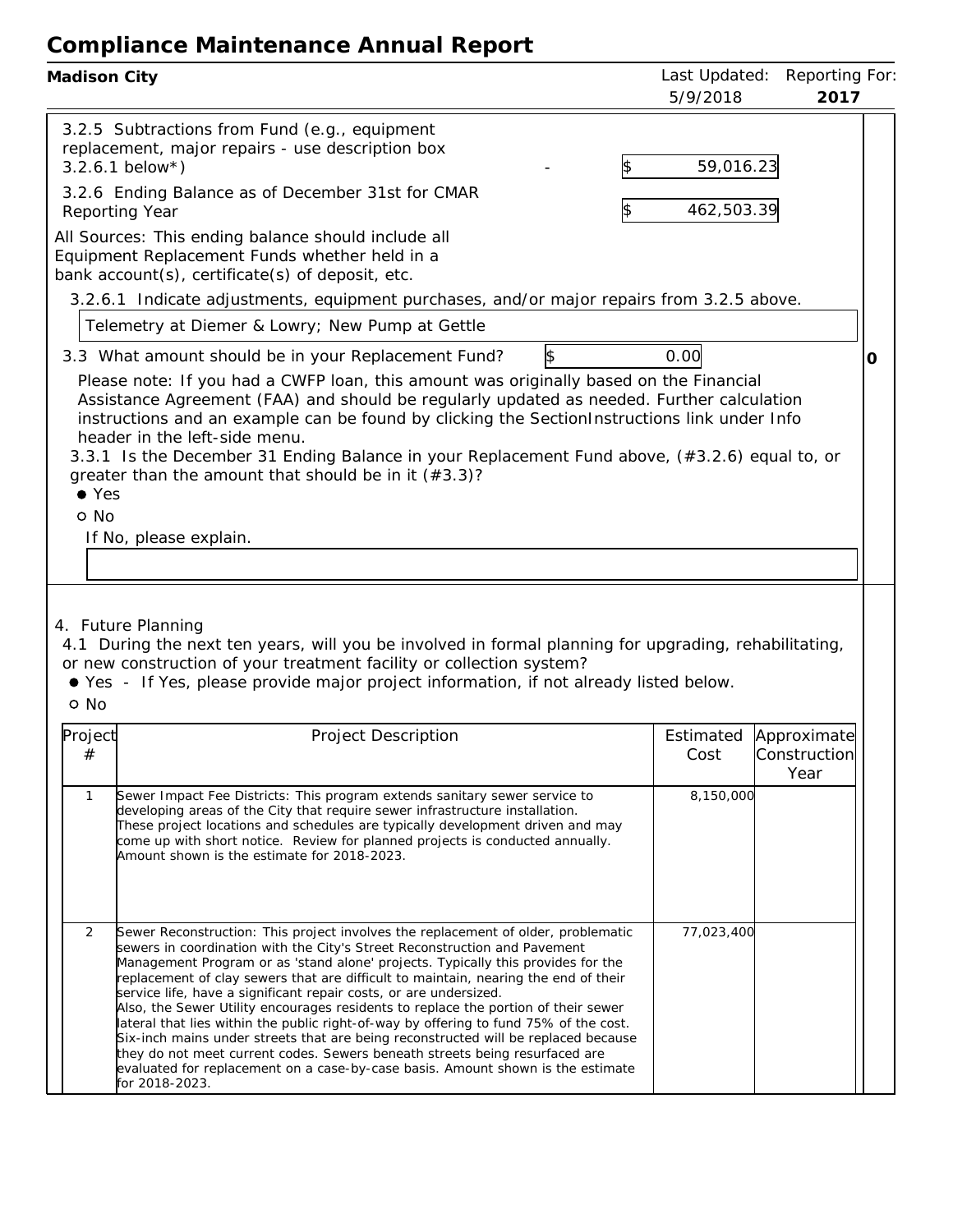| Madison City                                                                                                                                                                                                                                                                                                                                                                                                                                                                                                                                                                                                                                                                                                                                                                                                                                                                                                         | Last Updated:<br><b>Reporting For</b><br>5/9/2018<br>2017 |  |
|----------------------------------------------------------------------------------------------------------------------------------------------------------------------------------------------------------------------------------------------------------------------------------------------------------------------------------------------------------------------------------------------------------------------------------------------------------------------------------------------------------------------------------------------------------------------------------------------------------------------------------------------------------------------------------------------------------------------------------------------------------------------------------------------------------------------------------------------------------------------------------------------------------------------|-----------------------------------------------------------|--|
| 3.2.5 Subtractions from Fund (e.g., equipment<br>replacement, major repairs - use description box<br>$3.2.6.1$ below*)<br>3.2.6 Ending Balance as of December 31st for CMAR<br>Reporting Year                                                                                                                                                                                                                                                                                                                                                                                                                                                                                                                                                                                                                                                                                                                        | 59,016.23<br>462,503.39<br>1\$                            |  |
| All Sources: This ending balance should include all<br>Equipment Replacement Funds whether held in a<br>bank account(s), certificate(s) of deposit, etc.                                                                                                                                                                                                                                                                                                                                                                                                                                                                                                                                                                                                                                                                                                                                                             |                                                           |  |
| 3.2.6.1 Indicate adjustments, equipment purchases, and/or major repairs from 3.2.5 above.<br>Telemetry at Diemer & Lowry; New Pump at Gettle                                                                                                                                                                                                                                                                                                                                                                                                                                                                                                                                                                                                                                                                                                                                                                         |                                                           |  |
| $\frac{1}{2}$<br>3.3 What amount should be in your Replacement Fund?<br>Please note: If you had a CWFP loan, this amount was originally based on the Financial<br>Assistance Agreement (FAA) and should be regularly updated as needed. Further calculation<br>instructions and an example can be found by clicking the SectionInstructions link under Info<br>header in the left-side menu.<br>3.3.1 Is the December 31 Ending Balance in your Replacement Fund above, (#3.2.6) equal to, or<br>greater than the amount that should be in it $(*3.3)$ ?<br>$\bullet$ Yes<br>o No<br>If No, please explain.<br>4. Future Planning<br>4.1 During the next ten years, will you be involved in formal planning for upgrading, rehabilitating,<br>or new construction of your treatment facility or collection system?<br>● Yes - If Yes, please provide major project information, if not already listed below.<br>o No | 0.00<br>O                                                 |  |
| Project<br>Project Description<br>#                                                                                                                                                                                                                                                                                                                                                                                                                                                                                                                                                                                                                                                                                                                                                                                                                                                                                  | Estimated<br>Approximate<br>Construction<br>Cost<br>Year  |  |
| Sewer Impact Fee Districts: This program extends sanitary sewer service to<br>$\mathbf{1}$<br>developing areas of the City that require sewer infrastructure installation.<br>These project locations and schedules are typically development driven and may<br>come up with short notice. Review for planned projects is conducted annually.<br>Amount shown is the estimate for 2018-2023.                                                                                                                                                                                                                                                                                                                                                                                                                                                                                                                         | 8,150,000                                                 |  |
| 2<br>Sewer Reconstruction: This project involves the replacement of older, problematic<br>sewers in coordination with the City's Street Reconstruction and Pavement<br>Management Program or as 'stand alone' projects. Typically this provides for the<br>replacement of clay sewers that are difficult to maintain, nearing the end of their<br>service life, have a significant repair costs, or are undersized.<br>Also, the Sewer Utility encourages residents to replace the portion of their sewer<br>lateral that lies within the public right-of-way by offering to fund 75% of the cost.<br>Six-inch mains under streets that are being reconstructed will be replaced because<br>they do not meet current codes. Sewers beneath streets being resurfaced are<br>evaluated for replacement on a case-by-case basis. Amount shown is the estimate<br>for 2018-2023.                                         | 77,023,400                                                |  |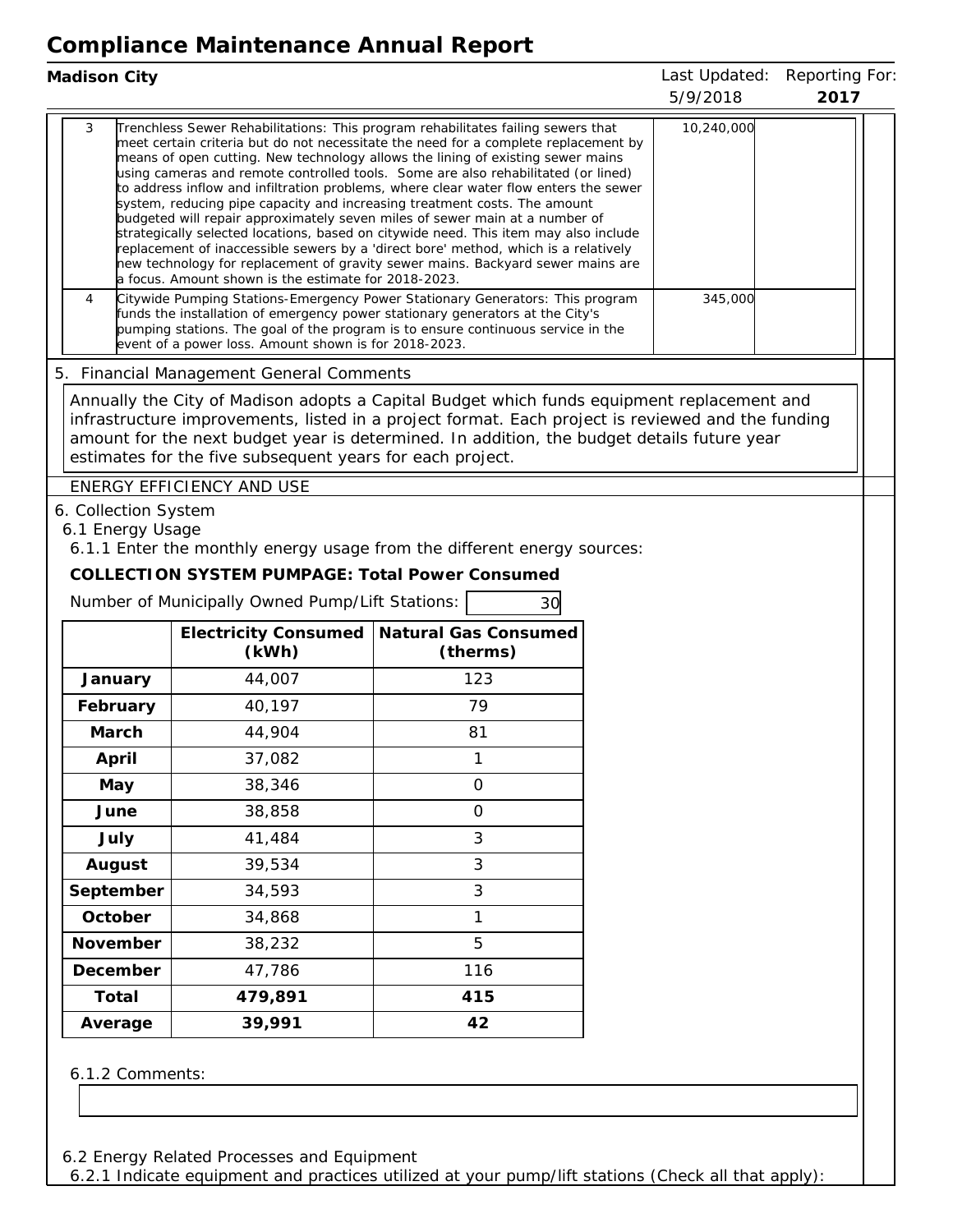| Madison City                             |                                                                                                                                   |                                                                                                                                                                                                                                                                                                                                                                                                                                                                                                                                                                                                                                                                                                                                                                                                                                                                                                                                                                                                                                         | Last Updated:<br>5/9/2018 | Reporting For:<br>2017 |
|------------------------------------------|-----------------------------------------------------------------------------------------------------------------------------------|-----------------------------------------------------------------------------------------------------------------------------------------------------------------------------------------------------------------------------------------------------------------------------------------------------------------------------------------------------------------------------------------------------------------------------------------------------------------------------------------------------------------------------------------------------------------------------------------------------------------------------------------------------------------------------------------------------------------------------------------------------------------------------------------------------------------------------------------------------------------------------------------------------------------------------------------------------------------------------------------------------------------------------------------|---------------------------|------------------------|
| 3<br>4                                   | a focus. Amount shown is the estimate for 2018-2023.                                                                              | Trenchless Sewer Rehabilitations: This program rehabilitates failing sewers that<br>meet certain criteria but do not necessitate the need for a complete replacement by<br>means of open cutting. New technology allows the lining of existing sewer mains<br>using cameras and remote controlled tools. Some are also rehabilitated (or lined)<br>to address inflow and infiltration problems, where clear water flow enters the sewer<br>system, reducing pipe capacity and increasing treatment costs. The amount<br>budgeted will repair approximately seven miles of sewer main at a number of<br>strategically selected locations, based on citywide need. This item may also include<br>replacement of inaccessible sewers by a 'direct bore' method, which is a relatively<br>new technology for replacement of gravity sewer mains. Backyard sewer mains are<br>Citywide Pumping Stations-Emergency Power Stationary Generators: This program<br>funds the installation of emergency power stationary generators at the City's | 10,240,000<br>345,000     |                        |
|                                          | event of a power loss. Amount shown is for 2018-2023.                                                                             | pumping stations. The goal of the program is to ensure continuous service in the                                                                                                                                                                                                                                                                                                                                                                                                                                                                                                                                                                                                                                                                                                                                                                                                                                                                                                                                                        |                           |                        |
|                                          | 5. Financial Management General Comments                                                                                          |                                                                                                                                                                                                                                                                                                                                                                                                                                                                                                                                                                                                                                                                                                                                                                                                                                                                                                                                                                                                                                         |                           |                        |
|                                          | estimates for the five subsequent years for each project.                                                                         | Annually the City of Madison adopts a Capital Budget which funds equipment replacement and<br>infrastructure improvements, listed in a project format. Each project is reviewed and the funding<br>amount for the next budget year is determined. In addition, the budget details future year                                                                                                                                                                                                                                                                                                                                                                                                                                                                                                                                                                                                                                                                                                                                           |                           |                        |
|                                          | ENERGY EFFICIENCY AND USE                                                                                                         |                                                                                                                                                                                                                                                                                                                                                                                                                                                                                                                                                                                                                                                                                                                                                                                                                                                                                                                                                                                                                                         |                           |                        |
| 6. Collection System<br>6.1 Energy Usage |                                                                                                                                   |                                                                                                                                                                                                                                                                                                                                                                                                                                                                                                                                                                                                                                                                                                                                                                                                                                                                                                                                                                                                                                         |                           |                        |
|                                          | COLLECTION SYSTEM PUMPAGE: Total Power Consumed<br>Number of Municipally Owned Pump/Lift Stations:<br><b>Electricity Consumed</b> | 6.1.1 Enter the monthly energy usage from the different energy sources:<br>30<br>Natural Gas Consumed                                                                                                                                                                                                                                                                                                                                                                                                                                                                                                                                                                                                                                                                                                                                                                                                                                                                                                                                   |                           |                        |
|                                          | (kWh)                                                                                                                             | (therms)                                                                                                                                                                                                                                                                                                                                                                                                                                                                                                                                                                                                                                                                                                                                                                                                                                                                                                                                                                                                                                |                           |                        |
| January                                  | 44,007                                                                                                                            | 123                                                                                                                                                                                                                                                                                                                                                                                                                                                                                                                                                                                                                                                                                                                                                                                                                                                                                                                                                                                                                                     |                           |                        |
| February                                 | 40,197                                                                                                                            | 79                                                                                                                                                                                                                                                                                                                                                                                                                                                                                                                                                                                                                                                                                                                                                                                                                                                                                                                                                                                                                                      |                           |                        |
| March                                    | 44,904                                                                                                                            | 81                                                                                                                                                                                                                                                                                                                                                                                                                                                                                                                                                                                                                                                                                                                                                                                                                                                                                                                                                                                                                                      |                           |                        |
| April                                    | 37,082                                                                                                                            | 1                                                                                                                                                                                                                                                                                                                                                                                                                                                                                                                                                                                                                                                                                                                                                                                                                                                                                                                                                                                                                                       |                           |                        |
| May                                      | 38,346                                                                                                                            | $\mathbf 0$<br>$\mathsf{O}\xspace$                                                                                                                                                                                                                                                                                                                                                                                                                                                                                                                                                                                                                                                                                                                                                                                                                                                                                                                                                                                                      |                           |                        |
| June                                     | 38,858                                                                                                                            | 3                                                                                                                                                                                                                                                                                                                                                                                                                                                                                                                                                                                                                                                                                                                                                                                                                                                                                                                                                                                                                                       |                           |                        |
| July                                     | 41,484<br>39,534                                                                                                                  | 3                                                                                                                                                                                                                                                                                                                                                                                                                                                                                                                                                                                                                                                                                                                                                                                                                                                                                                                                                                                                                                       |                           |                        |
| August<br>September                      | 34,593                                                                                                                            | 3                                                                                                                                                                                                                                                                                                                                                                                                                                                                                                                                                                                                                                                                                                                                                                                                                                                                                                                                                                                                                                       |                           |                        |
| October                                  | 34,868                                                                                                                            | $\mathbf{1}$                                                                                                                                                                                                                                                                                                                                                                                                                                                                                                                                                                                                                                                                                                                                                                                                                                                                                                                                                                                                                            |                           |                        |
| November                                 | 38,232                                                                                                                            | 5                                                                                                                                                                                                                                                                                                                                                                                                                                                                                                                                                                                                                                                                                                                                                                                                                                                                                                                                                                                                                                       |                           |                        |
| December                                 | 47,786                                                                                                                            | 116                                                                                                                                                                                                                                                                                                                                                                                                                                                                                                                                                                                                                                                                                                                                                                                                                                                                                                                                                                                                                                     |                           |                        |
| Total                                    | 479,891                                                                                                                           | 415                                                                                                                                                                                                                                                                                                                                                                                                                                                                                                                                                                                                                                                                                                                                                                                                                                                                                                                                                                                                                                     |                           |                        |

6.1.2 Comments: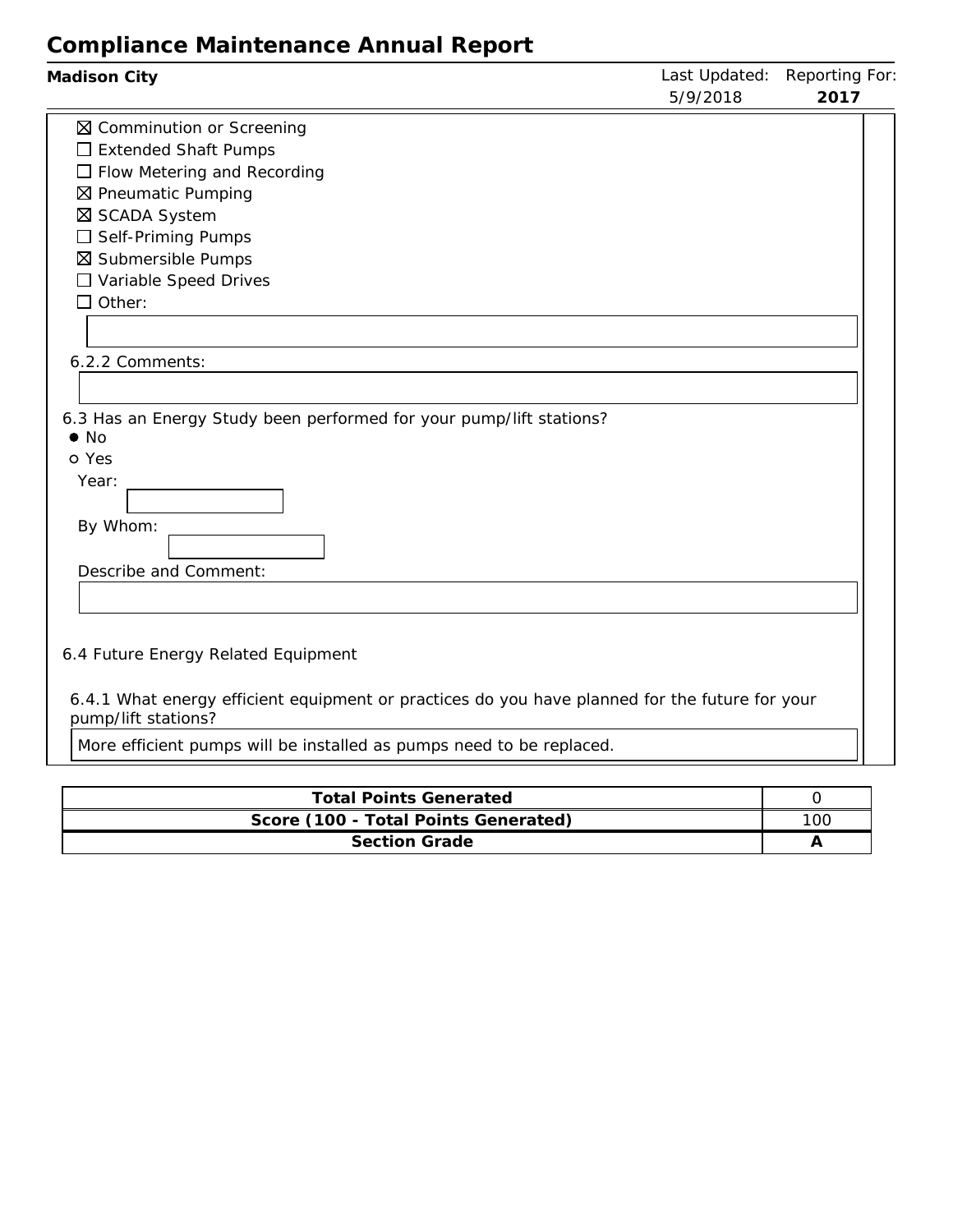| Madison City                                                                                                                                                                                                                             | Last Updated:<br>5/9/2018 | Reporting For:<br>2017 |
|------------------------------------------------------------------------------------------------------------------------------------------------------------------------------------------------------------------------------------------|---------------------------|------------------------|
| ⊠ Comminution or Screening<br>$\Box$ Extended Shaft Pumps<br>$\Box$ Flow Metering and Recording<br>⊠ Pneumatic Pumping<br>⊠ SCADA System<br>$\Box$ Self-Priming Pumps<br>⊠ Submersible Pumps<br>□ Variable Speed Drives<br>$\Box$ Other: |                           |                        |
| 6.2.2 Comments:<br>6.3 Has an Energy Study been performed for your pump/lift stations?<br>$\bullet$ No                                                                                                                                   |                           |                        |
| o Yes<br>Year:<br>By Whom:<br>Describe and Comment:                                                                                                                                                                                      |                           |                        |
| 6.4 Future Energy Related Equipment<br>6.4.1 What energy efficient equipment or practices do you have planned for the future for your<br>pump/lift stations?                                                                             |                           |                        |
| More efficient pumps will be installed as pumps need to be replaced.                                                                                                                                                                     |                           |                        |

| <b>Total Points Generated</b>        |     |
|--------------------------------------|-----|
|                                      |     |
| Score (100 - Total Points Generated) | 100 |
| Section Grade                        |     |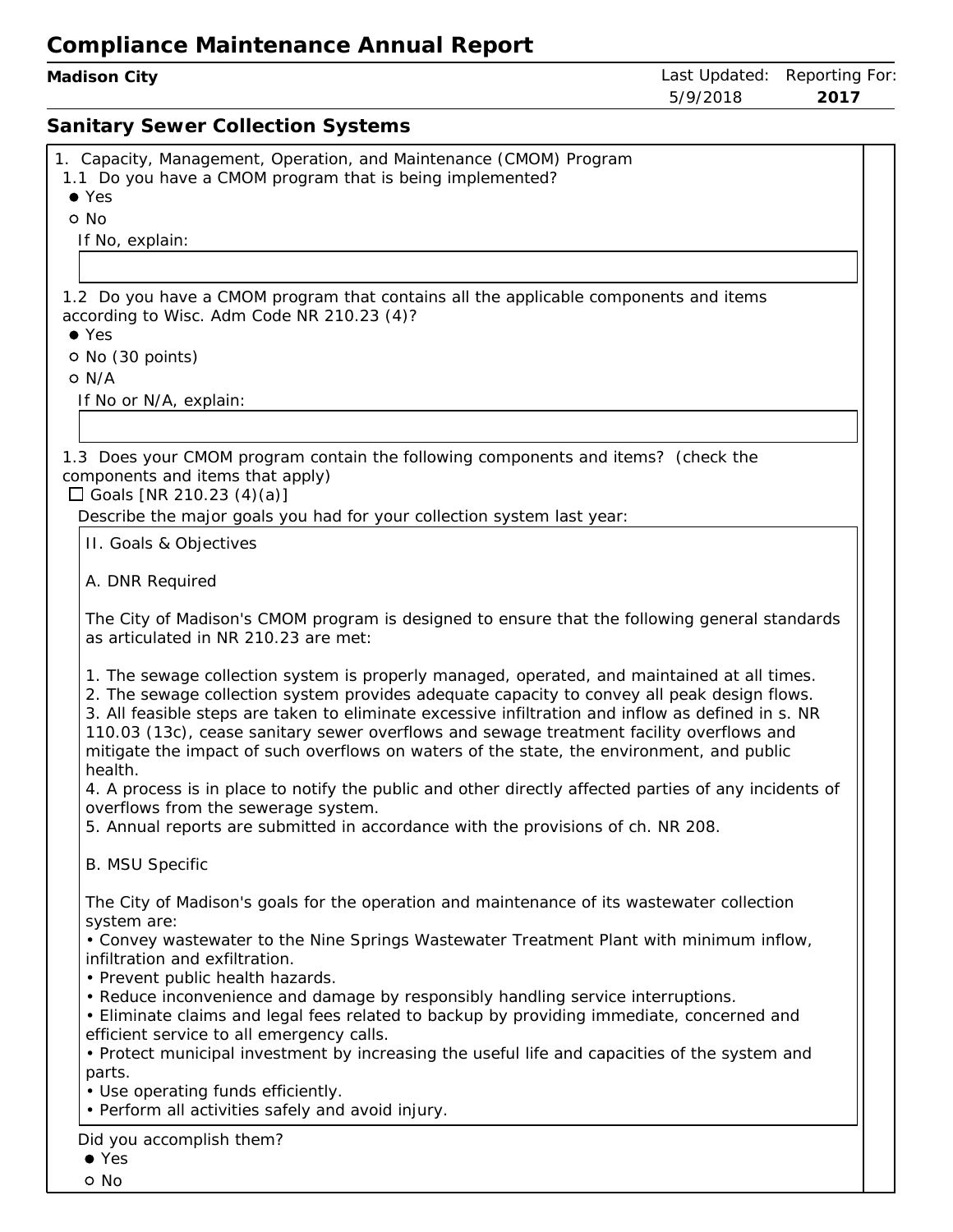| Madison City |  |
|--------------|--|
|--------------|--|

#### **Sanitary Sewer Collection Systems**

| 1. Capacity, Management, Operation, and Maintenance (CMOM) Program                                                                                                                                                                                                                                                                                                                                                                                                                                   |
|------------------------------------------------------------------------------------------------------------------------------------------------------------------------------------------------------------------------------------------------------------------------------------------------------------------------------------------------------------------------------------------------------------------------------------------------------------------------------------------------------|
| 1.1 Do you have a CMOM program that is being implemented?<br>$\bullet$ Yes                                                                                                                                                                                                                                                                                                                                                                                                                           |
| o No                                                                                                                                                                                                                                                                                                                                                                                                                                                                                                 |
| If No, explain:                                                                                                                                                                                                                                                                                                                                                                                                                                                                                      |
|                                                                                                                                                                                                                                                                                                                                                                                                                                                                                                      |
| 1.2 Do you have a CMOM program that contains all the applicable components and items                                                                                                                                                                                                                                                                                                                                                                                                                 |
| according to Wisc. Adm Code NR 210.23 (4)?                                                                                                                                                                                                                                                                                                                                                                                                                                                           |
| $\bullet$ Yes                                                                                                                                                                                                                                                                                                                                                                                                                                                                                        |
| O No (30 points)                                                                                                                                                                                                                                                                                                                                                                                                                                                                                     |
| O N/A                                                                                                                                                                                                                                                                                                                                                                                                                                                                                                |
| If No or N/A, explain:                                                                                                                                                                                                                                                                                                                                                                                                                                                                               |
|                                                                                                                                                                                                                                                                                                                                                                                                                                                                                                      |
| 1.3 Does your CMOM program contain the following components and items? (check the                                                                                                                                                                                                                                                                                                                                                                                                                    |
| components and items that apply)                                                                                                                                                                                                                                                                                                                                                                                                                                                                     |
| □ Goals [NR 210.23 (4)(a)]                                                                                                                                                                                                                                                                                                                                                                                                                                                                           |
| Describe the major goals you had for your collection system last year:                                                                                                                                                                                                                                                                                                                                                                                                                               |
| II. Goals & Objectives                                                                                                                                                                                                                                                                                                                                                                                                                                                                               |
| A. DNR Required                                                                                                                                                                                                                                                                                                                                                                                                                                                                                      |
|                                                                                                                                                                                                                                                                                                                                                                                                                                                                                                      |
| The City of Madison's CMOM program is designed to ensure that the following general standards                                                                                                                                                                                                                                                                                                                                                                                                        |
| as articulated in NR 210.23 are met:                                                                                                                                                                                                                                                                                                                                                                                                                                                                 |
| 1. The sewage collection system is properly managed, operated, and maintained at all times.<br>2. The sewage collection system provides adequate capacity to convey all peak design flows.<br>3. All feasible steps are taken to eliminate excessive infiltration and inflow as defined in s. NR<br>110.03 (13c), cease sanitary sewer overflows and sewage treatment facility overflows and<br>mitigate the impact of such overflows on waters of the state, the environment, and public<br>health. |
| 4. A process is in place to notify the public and other directly affected parties of any incidents of<br>overflows from the sewerage system.                                                                                                                                                                                                                                                                                                                                                         |
| 5. Annual reports are submitted in accordance with the provisions of ch. NR 208                                                                                                                                                                                                                                                                                                                                                                                                                      |
| <b>B. MSU Specific</b>                                                                                                                                                                                                                                                                                                                                                                                                                                                                               |
| The City of Madison's goals for the operation and maintenance of its wastewater collection<br>system are:                                                                                                                                                                                                                                                                                                                                                                                            |
| • Convey wastewater to the Nine Springs Wastewater Treatment Plant with minimum inflow,<br>infiltration and exfiltration.                                                                                                                                                                                                                                                                                                                                                                            |
| • Prevent public health hazards.<br>• Reduce inconvenience and damage by responsibly handling service interruptions.                                                                                                                                                                                                                                                                                                                                                                                 |
| • Eliminate claims and legal fees related to backup by providing immediate, concerned and                                                                                                                                                                                                                                                                                                                                                                                                            |
| efficient service to all emergency calls.                                                                                                                                                                                                                                                                                                                                                                                                                                                            |
| • Protect municipal investment by increasing the useful life and capacities of the system and<br>parts.                                                                                                                                                                                                                                                                                                                                                                                              |
| • Use operating funds efficiently.                                                                                                                                                                                                                                                                                                                                                                                                                                                                   |
| • Perform all activities safely and avoid injury.                                                                                                                                                                                                                                                                                                                                                                                                                                                    |
| Did you accomplish them?                                                                                                                                                                                                                                                                                                                                                                                                                                                                             |
| $\bullet$ Yes                                                                                                                                                                                                                                                                                                                                                                                                                                                                                        |
| o No                                                                                                                                                                                                                                                                                                                                                                                                                                                                                                 |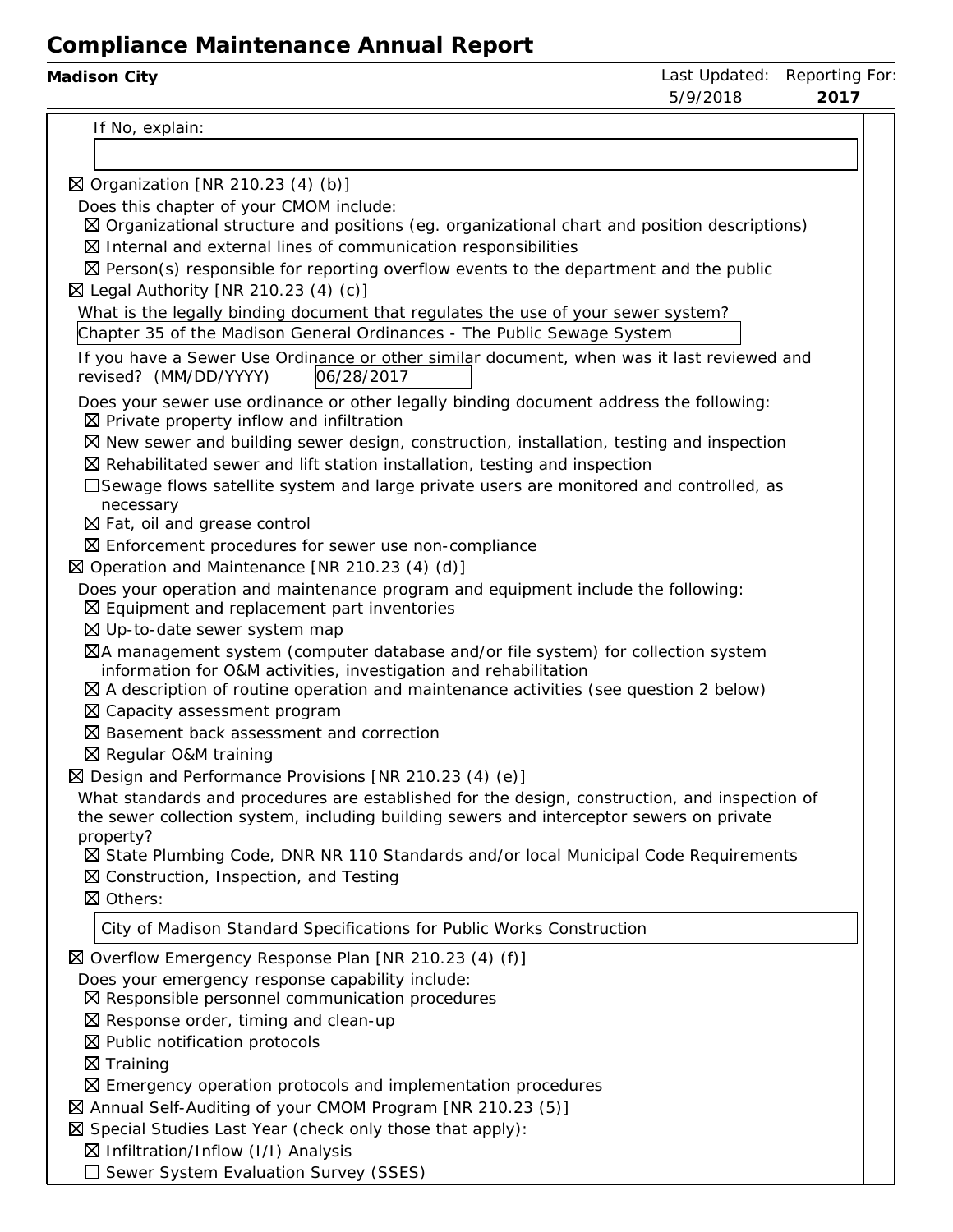| Madison City                                                                                                                                   | 5/9/2018 | Last Updated: Reporting For:<br>2017 |
|------------------------------------------------------------------------------------------------------------------------------------------------|----------|--------------------------------------|
| If No, explain:                                                                                                                                |          |                                      |
|                                                                                                                                                |          |                                      |
| $\boxtimes$ Organization [NR 210.23 (4) (b)]                                                                                                   |          |                                      |
| Does this chapter of your CMOM include:                                                                                                        |          |                                      |
| $\boxtimes$ Organizational structure and positions (eg. organizational chart and position descriptions)                                        |          |                                      |
| $\boxtimes$ Internal and external lines of communication responsibilities                                                                      |          |                                      |
| $\boxtimes$ Person(s) responsible for reporting overflow events to the department and the public                                               |          |                                      |
| $\boxtimes$ Legal Authority [NR 210.23 (4) (c)]                                                                                                |          |                                      |
| What is the legally binding document that regulates the use of your sewer system?                                                              |          |                                      |
| Chapter 35 of the Madison General Ordinances - The Public Sewage System                                                                        |          |                                      |
| If you have a Sewer Use Ordinance or other similar document, when was it last reviewed and<br>revised? (MM/DD/YYYY)<br>06/28/2017              |          |                                      |
| Does your sewer use ordinance or other legally binding document address the following:<br>$\boxtimes$ Private property inflow and infiltration |          |                                      |
| $\boxtimes$ New sewer and building sewer design, construction, installation, testing and inspection                                            |          |                                      |
| $\boxtimes$ Rehabilitated sewer and lift station installation, testing and inspection                                                          |          |                                      |
| □Sewage flows satellite system and large private users are monitored and controlled, as                                                        |          |                                      |
| necessary<br>$\boxtimes$ Fat, oil and grease control                                                                                           |          |                                      |
| $\boxtimes$ Enforcement procedures for sewer use non-compliance                                                                                |          |                                      |
| ⊠ Operation and Maintenance [NR 210.23 (4) (d)]                                                                                                |          |                                      |
| Does your operation and maintenance program and equipment include the following:                                                               |          |                                      |
| $\boxtimes$ Equipment and replacement part inventories                                                                                         |          |                                      |
| ⊠ Up-to-date sewer system map                                                                                                                  |          |                                      |
| ⊠A management system (computer database and/or file system) for collection system                                                              |          |                                      |
| information for O&M activities, investigation and rehabilitation                                                                               |          |                                      |
| $\boxtimes$ A description of routine operation and maintenance activities (see question 2 below)                                               |          |                                      |
| ⊠ Capacity assessment program<br>⊠ Basement back assessment and correction                                                                     |          |                                      |
| ⊠ Regular O&M training                                                                                                                         |          |                                      |
| ⊠ Design and Performance Provisions [NR 210.23 (4) (e)]                                                                                        |          |                                      |
| What standards and procedures are established for the design, construction, and inspection of                                                  |          |                                      |
| the sewer collection system, including building sewers and interceptor sewers on private                                                       |          |                                      |
| property?                                                                                                                                      |          |                                      |
| ⊠ State Plumbing Code, DNR NR 110 Standards and/or local Municipal Code Requirements                                                           |          |                                      |
| $\boxtimes$ Construction, Inspection, and Testing                                                                                              |          |                                      |
| ⊠ Others:                                                                                                                                      |          |                                      |
| City of Madison Standard Specifications for Public Works Construction                                                                          |          |                                      |
| ⊠ Overflow Emergency Response Plan [NR 210.23 (4) (f)]                                                                                         |          |                                      |
| Does your emergency response capability include:                                                                                               |          |                                      |
| ⊠ Responsible personnel communication procedures                                                                                               |          |                                      |
| $\boxtimes$ Response order, timing and clean-up                                                                                                |          |                                      |
| $\boxtimes$ Public notification protocols                                                                                                      |          |                                      |
| $\boxtimes$ Training                                                                                                                           |          |                                      |
| $\boxtimes$ Emergency operation protocols and implementation procedures                                                                        |          |                                      |
| ⊠ Annual Self-Auditing of your CMOM Program [NR 210.23 (5)]                                                                                    |          |                                      |
| $\boxtimes$ Special Studies Last Year (check only those that apply):<br>$\boxtimes$ Infiltration/Inflow (I/I) Analysis                         |          |                                      |
| Sewer System Evaluation Survey (SSES)                                                                                                          |          |                                      |
|                                                                                                                                                |          |                                      |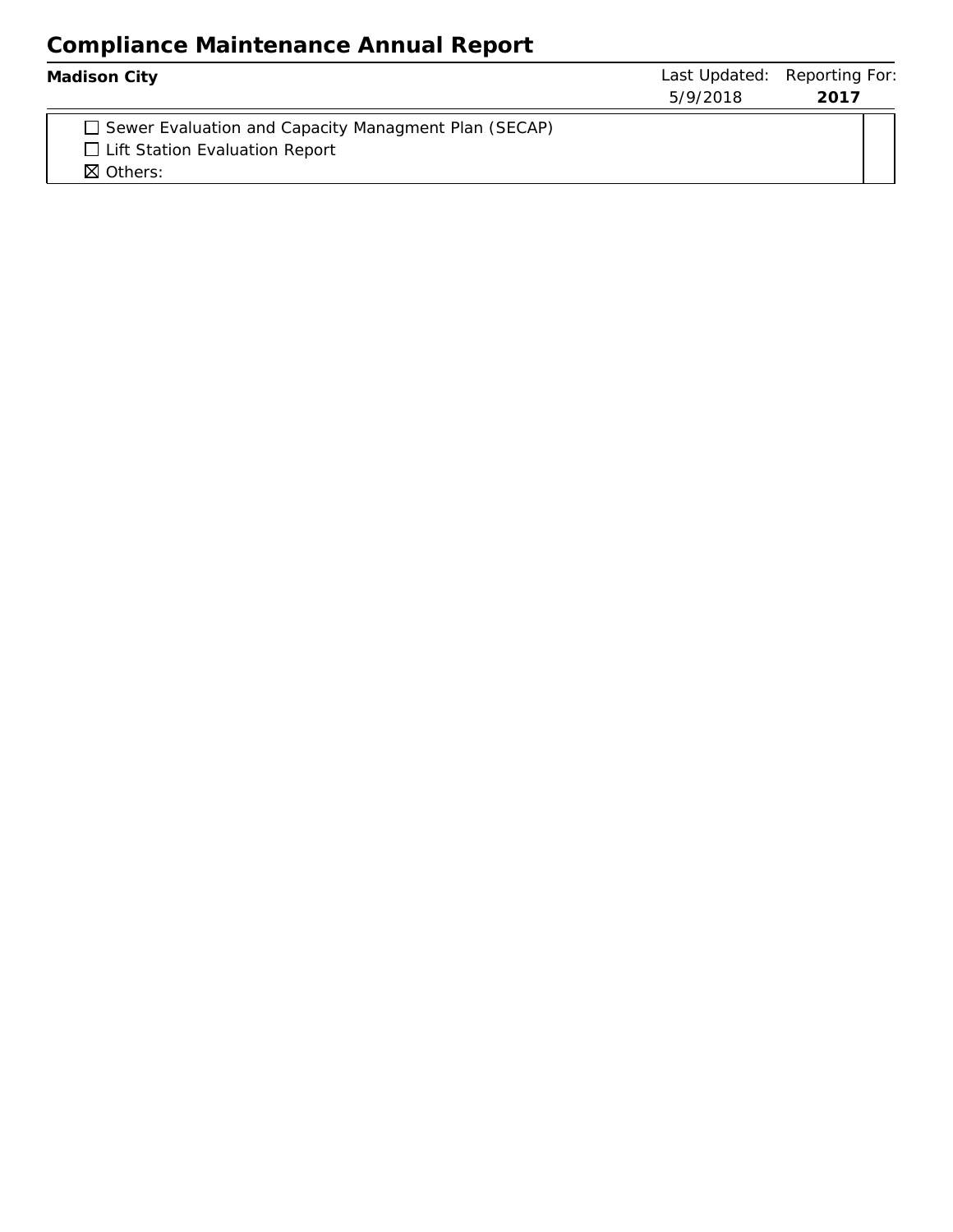| Madison City                                                                                                                | 5/9/2018 | Last Updated: Reporting For:<br>2017 |
|-----------------------------------------------------------------------------------------------------------------------------|----------|--------------------------------------|
| $\Box$ Sewer Evaluation and Capacity Managment Plan (SECAP)<br>$\Box$ Lift Station Evaluation Report<br>$\boxtimes$ Others: |          |                                      |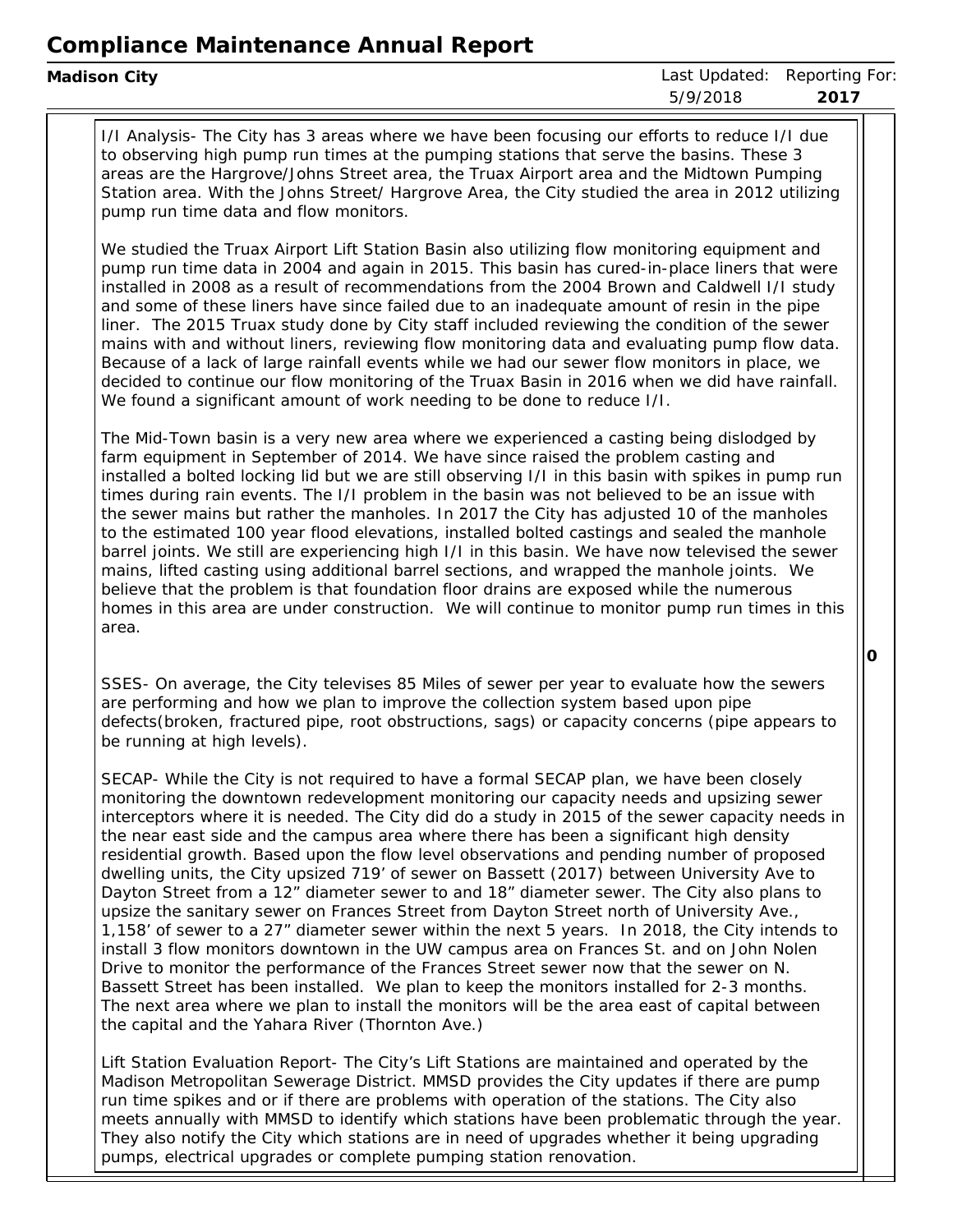I/I Analysis- The City has 3 areas where we have been focusing our efforts to reduce I/I due to observing high pump run times at the pumping stations that serve the basins. These 3 areas are the Hargrove/Johns Street area, the Truax Airport area and the Midtown Pumping Station area. With the Johns Street/ Hargrove Area, the City studied the area in 2012 utilizing pump run time data and flow monitors.

We studied the Truax Airport Lift Station Basin also utilizing flow monitoring equipment and pump run time data in 2004 and again in 2015. This basin has cured-in-place liners that were installed in 2008 as <sup>a</sup> result of recommendations from the 2004 Brown and Caldwell I/I study and some of these liners have since failed due to an inadequate amount of resin in the pipe liner. The 2015 Truax study done by City staff included reviewing the condition of the sewer mains with and without liners, reviewing flow monitoring data and evaluating pump flow data. Because of <sup>a</sup> lack of large rainfall events while we had our sewer flow monitors in place, we decided to continue our flow monitoring of the Truax Basin in 2016 when we did have rainfall. We found <sup>a</sup> significant amount of work needing to be done to reduce I/I.

The Mid-Town basin is <sup>a</sup> very new area where we experienced <sup>a</sup> casting being dislodged by farm equipment in September of 2014. We have since raised the problem casting and installed <sup>a</sup> bolted locking lid but we are still observing I/I in this basin with spikes in pump run times during rain events. The I/I problem in the basin was not believed to be an issue with the sewer mains but rather the manholes. In 2017 the City has adjusted 10 of the manholes to the estimated 100 year flood elevations, installed bolted castings and sealed the manhole barrel joints. We still are experiencing high I/I in this basin. We have now televised the sewer mains, lifted casting using additional barrel sections, and wrapped the manhole joints. We believe that the problem is that foundation floor drains are exposed while the numerous homes in this area are under construction. We will continue to monitor pump run times in this area.

SSES- On average, the City televises 85 Miles of sewer per year to evaluate how the sewers are performing and how we plan to improve the collection system based upon pipe defects(broken, fractured pipe, root obstructions, sags) or capacity concerns (pipe appears to be running at high levels).

SECAP- While the City is not required to have <sup>a</sup> formal SECAP plan, we have been closely monitoring the downtown redevelopment monitoring our capacity needs and upsizing sewer interceptors where it is needed. The City did do <sup>a</sup> study in 2015 of the sewer capacity needs in the near east side and the campus area where there has been <sup>a</sup> significant high density residential growth. Based upon the flow level observations and pending number of proposed dwelling units, the City upsized 719' of sewer on Bassett (2017) between University Ave to Dayton Street from <sup>a</sup> 12" diameter sewer to and 18" diameter sewer. The City also plans to upsize the sanitary sewer on Frances Street from Dayton Street north of University Ave., 1,158' of sewer to <sup>a</sup> 27" diameter sewer within the next 5 years. In 2018, the City intends to install 3 flow monitors downtown in the UW campus area on Frances St. and on John Nolen Drive to monitor the performance of the Frances Street sewer now that the sewer on N. Bassett Street has been installed. We plan to keep the monitors installed for 2-3 months. The next area where we plan to install the monitors will be the area east of capital between the capital and the Yahara River (Thornton Ave.)

Lift Station Evaluation Report- The City's Lift Stations are maintained and operated by the Madison Metropolitan Sewerage District. MMSD provides the City updates if there are pump run time spikes and or if there are problems with operation of the stations. The City also meets annually with MMSD to identify which stations have been problematic through the year. They also notify the City which stations are in need of upgrades whether it being upgrading pumps, electrical upgrades or complete pumping station renovation.

**0**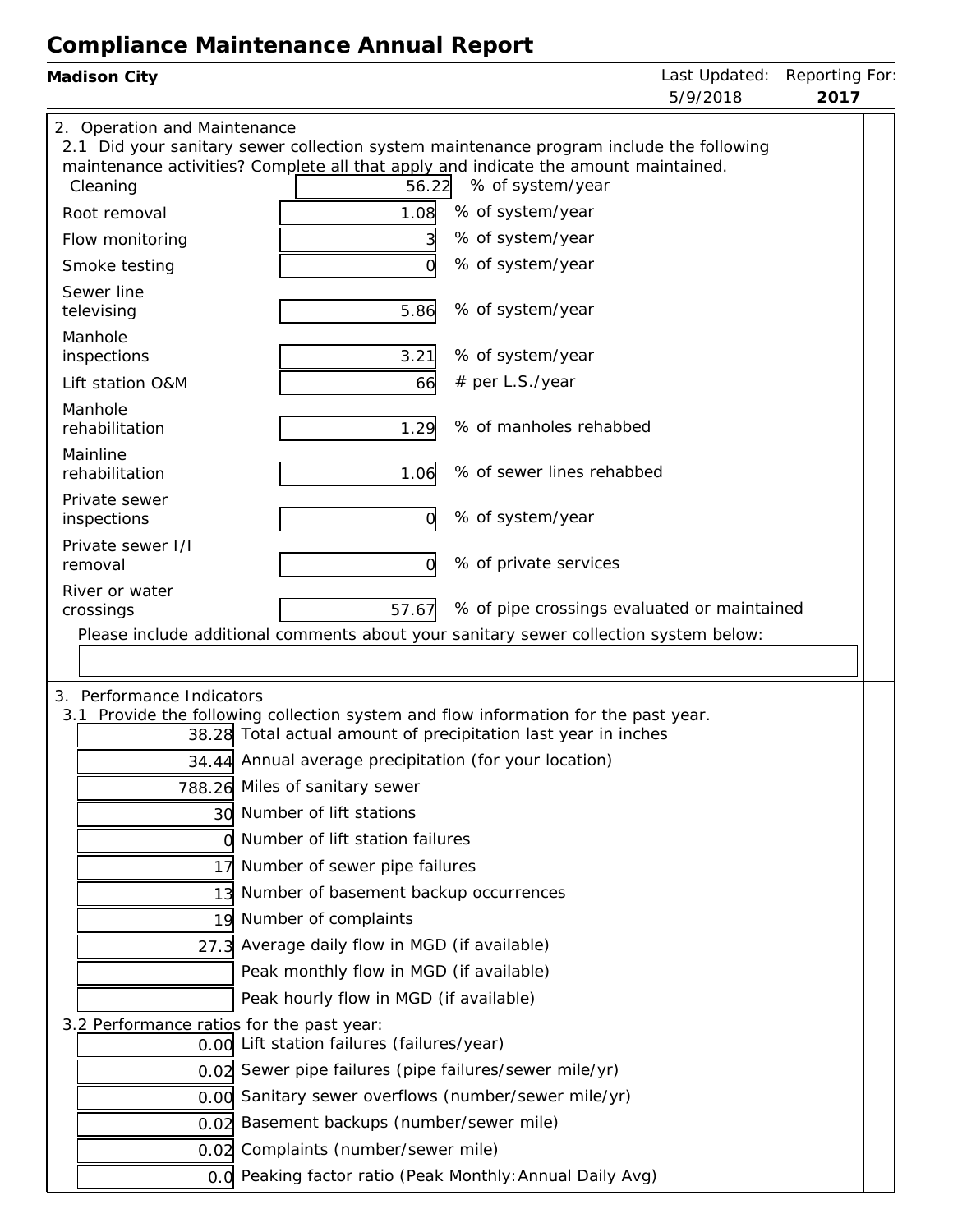| Madison City                              |                                                                                                                                                                                |                                             | Last Updated:<br>5/9/2018 | Reporting For:<br>2017 |
|-------------------------------------------|--------------------------------------------------------------------------------------------------------------------------------------------------------------------------------|---------------------------------------------|---------------------------|------------------------|
| 2. Operation and Maintenance              | 2.1 Did your sanitary sewer collection system maintenance program include the following<br>maintenance activities? Complete all that apply and indicate the amount maintained. |                                             |                           |                        |
| Cleaning                                  | 56.22                                                                                                                                                                          | % of system/year                            |                           |                        |
| Root removal                              | 1.08                                                                                                                                                                           | % of system/year                            |                           |                        |
| Flow monitoring                           |                                                                                                                                                                                | % of system/year                            |                           |                        |
| Smoke testing                             |                                                                                                                                                                                | % of system/year                            |                           |                        |
| Sewer line<br>televising                  | 5.86                                                                                                                                                                           | % of system/year                            |                           |                        |
| Manhole<br>inspections                    | 3.21                                                                                                                                                                           | % of system/year                            |                           |                        |
| Lift station O&M                          | 66                                                                                                                                                                             | # per L.S./year                             |                           |                        |
| Manhole<br>rehabilitation                 | 1.29                                                                                                                                                                           | % of manholes rehabbed                      |                           |                        |
| Mainline<br>rehabilitation                | 1.06                                                                                                                                                                           | % of sewer lines rehabbed                   |                           |                        |
| Private sewer<br>inspections              | 0                                                                                                                                                                              | % of system/year                            |                           |                        |
| Private sewer I/I<br>removal              | Ο                                                                                                                                                                              | % of private services                       |                           |                        |
| River or water<br>crossings               | 57.67                                                                                                                                                                          | % of pipe crossings evaluated or maintained |                           |                        |
|                                           | Please include additional comments about your sanitary sewer collection system below:                                                                                          |                                             |                           |                        |
| 3. Performance Indicators                 | 3.1 Provide the following collection system and flow information for the past year.<br>38.28 Total actual amount of precipitation last year in inches                          |                                             |                           |                        |
|                                           | 34.44 Annual average precipitation (for your location)                                                                                                                         |                                             |                           |                        |
|                                           | 788.26 Miles of sanitary sewer                                                                                                                                                 |                                             |                           |                        |
|                                           | 30 Number of lift stations                                                                                                                                                     |                                             |                           |                        |
|                                           | Number of lift station failures                                                                                                                                                |                                             |                           |                        |
| 17                                        | Number of sewer pipe failures                                                                                                                                                  |                                             |                           |                        |
|                                           | 13 Number of basement backup occurrences                                                                                                                                       |                                             |                           |                        |
|                                           | 19 Number of complaints                                                                                                                                                        |                                             |                           |                        |
| 27.3                                      | Average daily flow in MGD (if available)                                                                                                                                       |                                             |                           |                        |
|                                           | Peak monthly flow in MGD (if available)                                                                                                                                        |                                             |                           |                        |
|                                           | Peak hourly flow in MGD (if available)                                                                                                                                         |                                             |                           |                        |
| 3.2 Performance ratios for the past year: | 0.00 Lift station failures (failures/year)                                                                                                                                     |                                             |                           |                        |
|                                           | 0.02 Sewer pipe failures (pipe failures/sewer mile/yr)                                                                                                                         |                                             |                           |                        |
|                                           | 0.00 Sanitary sewer overflows (number/sewer mile/yr)                                                                                                                           |                                             |                           |                        |
| 0.02                                      | Basement backups (number/sewer mile)                                                                                                                                           |                                             |                           |                        |
| 0.02                                      | Complaints (number/sewer mile)                                                                                                                                                 |                                             |                           |                        |
|                                           | 0.0 Peaking factor ratio (Peak Monthly: Annual Daily Avg)                                                                                                                      |                                             |                           |                        |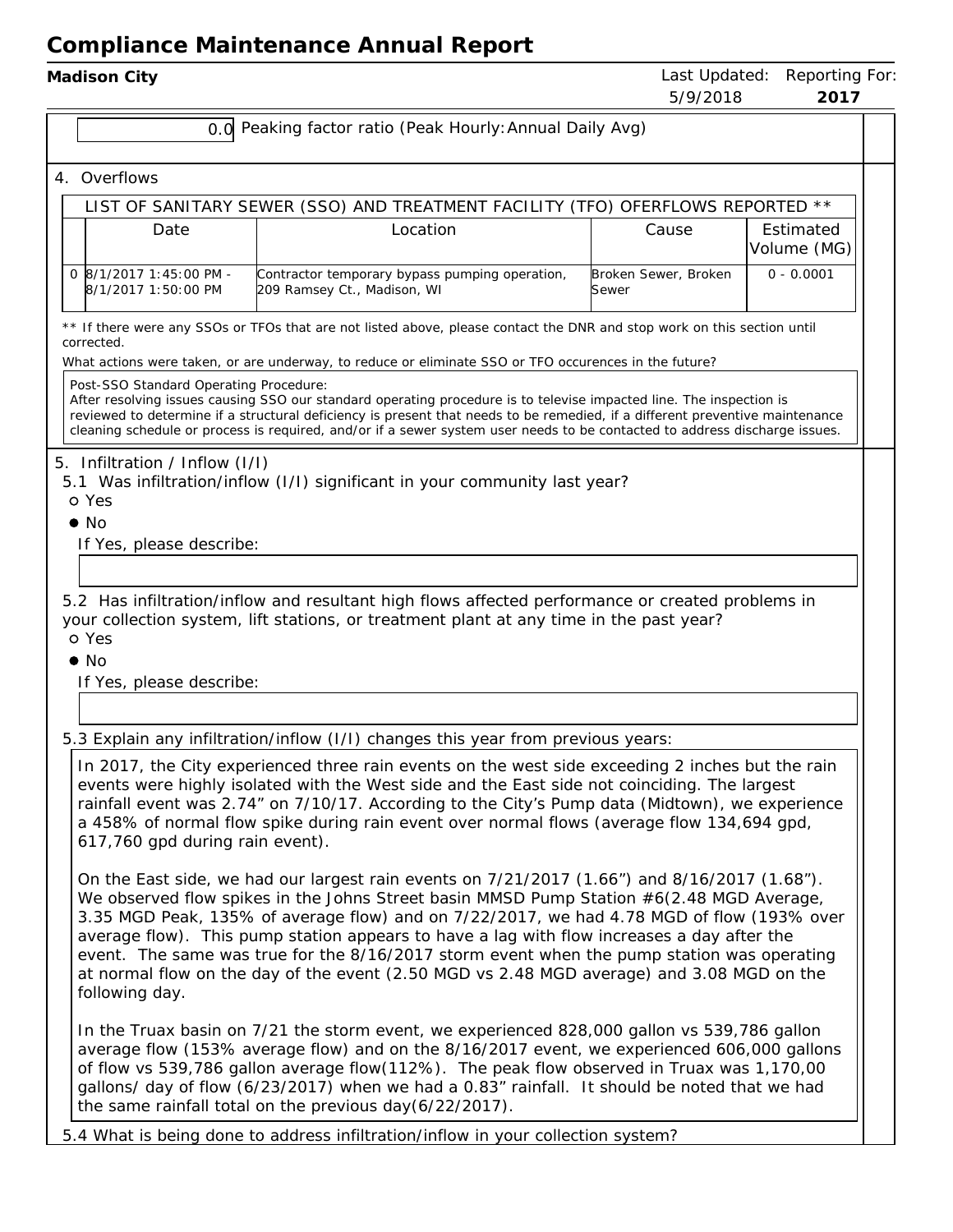| Madison City |  |
|--------------|--|
|--------------|--|

|                                                                                                                                                                                             |                                                                                                                                                                                                                                                                                                                                                                                                                                      |                                                                                                                                                                                                                                                                                                                                                                                                                                                                                                                                                                                                | J/ 7/ 20 I 0                  | 20 I I                   |  |
|---------------------------------------------------------------------------------------------------------------------------------------------------------------------------------------------|--------------------------------------------------------------------------------------------------------------------------------------------------------------------------------------------------------------------------------------------------------------------------------------------------------------------------------------------------------------------------------------------------------------------------------------|------------------------------------------------------------------------------------------------------------------------------------------------------------------------------------------------------------------------------------------------------------------------------------------------------------------------------------------------------------------------------------------------------------------------------------------------------------------------------------------------------------------------------------------------------------------------------------------------|-------------------------------|--------------------------|--|
|                                                                                                                                                                                             |                                                                                                                                                                                                                                                                                                                                                                                                                                      | 0.0 Peaking factor ratio (Peak Hourly: Annual Daily Avg)                                                                                                                                                                                                                                                                                                                                                                                                                                                                                                                                       |                               |                          |  |
|                                                                                                                                                                                             | 4. Overflows                                                                                                                                                                                                                                                                                                                                                                                                                         |                                                                                                                                                                                                                                                                                                                                                                                                                                                                                                                                                                                                |                               |                          |  |
|                                                                                                                                                                                             | LIST OF SANITARY SEWER (SSO) AND TREATMENT FACILITY (TFO) OFERFLOWS REPORTED **                                                                                                                                                                                                                                                                                                                                                      |                                                                                                                                                                                                                                                                                                                                                                                                                                                                                                                                                                                                |                               |                          |  |
|                                                                                                                                                                                             | Date                                                                                                                                                                                                                                                                                                                                                                                                                                 | Location                                                                                                                                                                                                                                                                                                                                                                                                                                                                                                                                                                                       | Cause                         | Estimated<br>Volume (MG) |  |
|                                                                                                                                                                                             | 0 8/1/2017 1:45:00 PM -<br>8/1/2017 1:50:00 PM                                                                                                                                                                                                                                                                                                                                                                                       | Contractor temporary bypass pumping operation,<br>209 Ramsey Ct., Madison, WI                                                                                                                                                                                                                                                                                                                                                                                                                                                                                                                  | Broken Sewer, Broken<br>Sewer | $0 - 0.0001$             |  |
|                                                                                                                                                                                             | corrected.                                                                                                                                                                                                                                                                                                                                                                                                                           | ** If there were any SSOs or TFOs that are not listed above, please contact the DNR and stop work on this section until                                                                                                                                                                                                                                                                                                                                                                                                                                                                        |                               |                          |  |
|                                                                                                                                                                                             |                                                                                                                                                                                                                                                                                                                                                                                                                                      | What actions were taken, or are underway, to reduce or eliminate SSO or TFO occurences in the future?                                                                                                                                                                                                                                                                                                                                                                                                                                                                                          |                               |                          |  |
|                                                                                                                                                                                             | Post-SSO Standard Operating Procedure:                                                                                                                                                                                                                                                                                                                                                                                               | After resolving issues causing SSO our standard operating procedure is to televise impacted line. The inspection is<br>reviewed to determine if a structural deficiency is present that needs to be remedied, if a different preventive maintenance<br>cleaning schedule or process is required, and/or if a sewer system user needs to be contacted to address discharge issues.                                                                                                                                                                                                              |                               |                          |  |
|                                                                                                                                                                                             | 5. Infiltration / Inflow (I/I)<br>o Yes<br>$\bullet$ No                                                                                                                                                                                                                                                                                                                                                                              | 5.1 Was infiltration/inflow (I/I) significant in your community last year?                                                                                                                                                                                                                                                                                                                                                                                                                                                                                                                     |                               |                          |  |
|                                                                                                                                                                                             | If Yes, please describe:                                                                                                                                                                                                                                                                                                                                                                                                             |                                                                                                                                                                                                                                                                                                                                                                                                                                                                                                                                                                                                |                               |                          |  |
|                                                                                                                                                                                             |                                                                                                                                                                                                                                                                                                                                                                                                                                      |                                                                                                                                                                                                                                                                                                                                                                                                                                                                                                                                                                                                |                               |                          |  |
|                                                                                                                                                                                             |                                                                                                                                                                                                                                                                                                                                                                                                                                      |                                                                                                                                                                                                                                                                                                                                                                                                                                                                                                                                                                                                |                               |                          |  |
| 5.2 Has infiltration/inflow and resultant high flows affected performance or created problems in<br>your collection system, lift stations, or treatment plant at any time in the past year? |                                                                                                                                                                                                                                                                                                                                                                                                                                      |                                                                                                                                                                                                                                                                                                                                                                                                                                                                                                                                                                                                |                               |                          |  |
|                                                                                                                                                                                             | o Yes                                                                                                                                                                                                                                                                                                                                                                                                                                |                                                                                                                                                                                                                                                                                                                                                                                                                                                                                                                                                                                                |                               |                          |  |
|                                                                                                                                                                                             | $\bullet$ No                                                                                                                                                                                                                                                                                                                                                                                                                         |                                                                                                                                                                                                                                                                                                                                                                                                                                                                                                                                                                                                |                               |                          |  |
|                                                                                                                                                                                             | If Yes, please describe:                                                                                                                                                                                                                                                                                                                                                                                                             |                                                                                                                                                                                                                                                                                                                                                                                                                                                                                                                                                                                                |                               |                          |  |
|                                                                                                                                                                                             |                                                                                                                                                                                                                                                                                                                                                                                                                                      |                                                                                                                                                                                                                                                                                                                                                                                                                                                                                                                                                                                                |                               |                          |  |
|                                                                                                                                                                                             |                                                                                                                                                                                                                                                                                                                                                                                                                                      | 5.3 Explain any infiltration/inflow (I/I) changes this year from previous years:                                                                                                                                                                                                                                                                                                                                                                                                                                                                                                               |                               |                          |  |
|                                                                                                                                                                                             | In 2017, the City experienced three rain events on the west side exceeding 2 inches but the rain<br>events were highly isolated with the West side and the East side not coinciding. The largest<br>rainfall event was 2.74" on 7/10/17. According to the City's Pump data (Midtown), we experience<br>a 458% of normal flow spike during rain event over normal flows (average flow 134,694 gpd,<br>617,760 gpd during rain event). |                                                                                                                                                                                                                                                                                                                                                                                                                                                                                                                                                                                                |                               |                          |  |
|                                                                                                                                                                                             | following day.                                                                                                                                                                                                                                                                                                                                                                                                                       | On the East side, we had our largest rain events on $7/21/2017$ (1.66") and $8/16/2017$ (1.68").<br>We observed flow spikes in the Johns Street basin MMSD Pump Station $#6(2.48 \text{ MGD Average})$ ,<br>3.35 MGD Peak, 135% of average flow) and on 7/22/2017, we had 4.78 MGD of flow (193% over<br>average flow). This pump station appears to have a lag with flow increases a day after the<br>event. The same was true for the 8/16/2017 storm event when the pump station was operating<br>at normal flow on the day of the event (2.50 MGD vs 2.48 MGD average) and 3.08 MGD on the |                               |                          |  |
|                                                                                                                                                                                             |                                                                                                                                                                                                                                                                                                                                                                                                                                      | In the Truax basin on 7/21 the storm event, we experienced 828,000 gallon vs 539,786 gallon<br>average flow (153% average flow) and on the 8/16/2017 event, we experienced 606,000 gallons<br>of flow vs 539,786 gallon average flow(112%). The peak flow observed in Truax was 1,170,00<br>gallons/ day of flow (6/23/2017) when we had a 0.83" rainfall. It should be noted that we had<br>the same rainfall total on the previous day(6/22/2017).                                                                                                                                           |                               |                          |  |

5.4 What is being done to address infiltration/inflow in your collection system?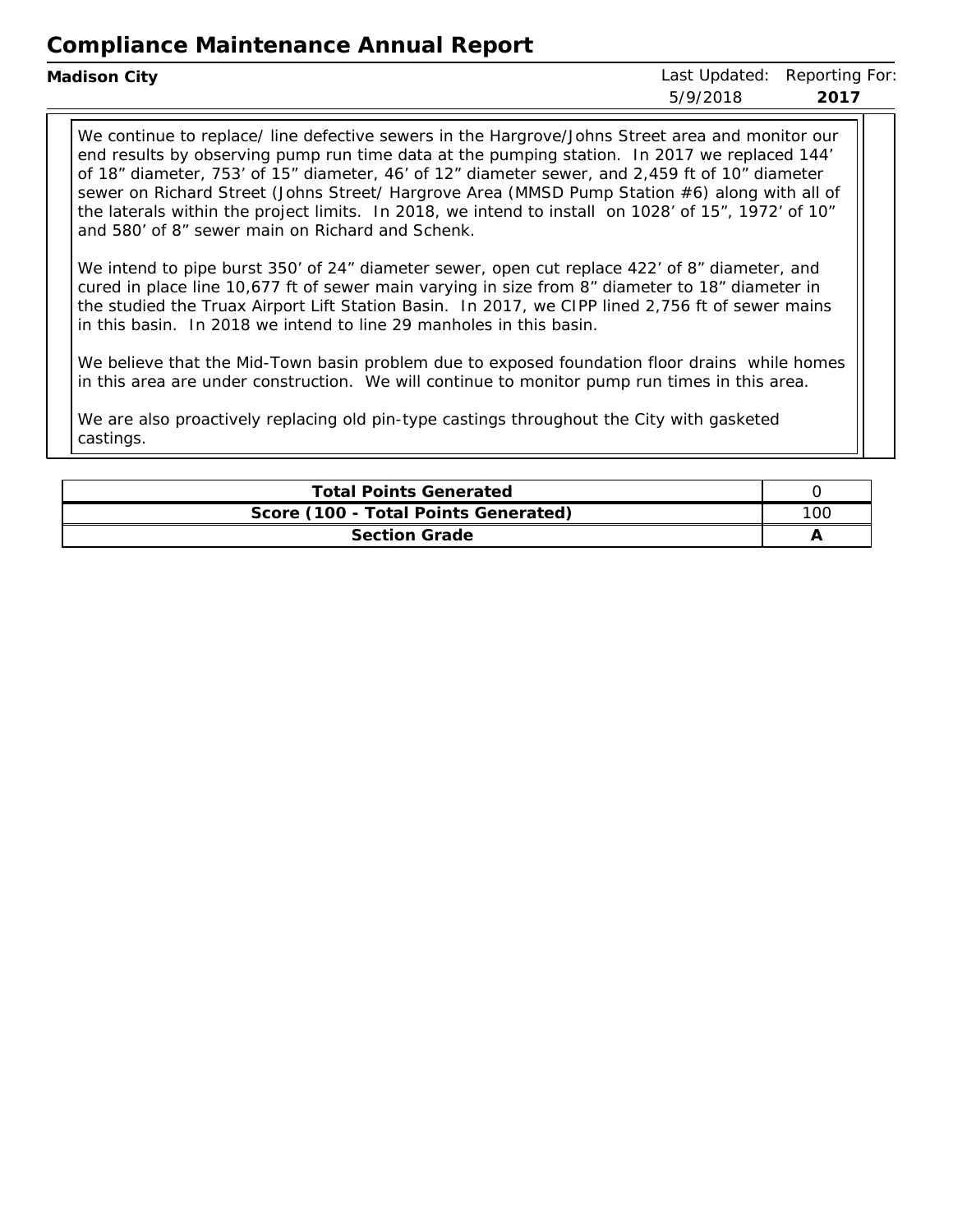| Madison City | Last Updated: Reporting For: |      |
|--------------|------------------------------|------|
|              | 5/9/2018                     | 2017 |
|              |                              |      |

We continue to replace/ line defective sewers in the Hargrove/Johns Street area and monitor our end results by observing pump run time data at the pumping station. In 2017 we replaced 144' of 18" diameter, 753' of 15" diameter, 46' of 12" diameter sewer, and 2,459 ft of 10" diameter sewer on Richard Street (Johns Street/ Hargrove Area (MMSD Pump Station #6) along with all of the laterals within the project limits. In 2018, we intend to install on 1028' of 15", 1972' of 10" and 580' of 8" sewer main on Richard and Schenk.

We intend to pipe burst 350' of 24" diameter sewer, open cut replace 422' of 8" diameter, and cured in place line 10,677 ft of sewer main varying in size from 8" diameter to 18" diameter in the studied the Truax Airport Lift Station Basin. In 2017, we CIPP lined 2,756 ft of sewer mains in this basin. In 2018 we intend to line 29 manholes in this basin.

We believe that the Mid-Town basin problem due to exposed foundation floor drains while homes in this area are under construction. We will continue to monitor pump run times in this area.

We are also proactively replacing old pin-type castings throughout the City with gasketed castings.

| <b>Total Points Generated</b>        |     |
|--------------------------------------|-----|
| Score (100 - Total Points Generated) | 100 |
| Section Grade                        |     |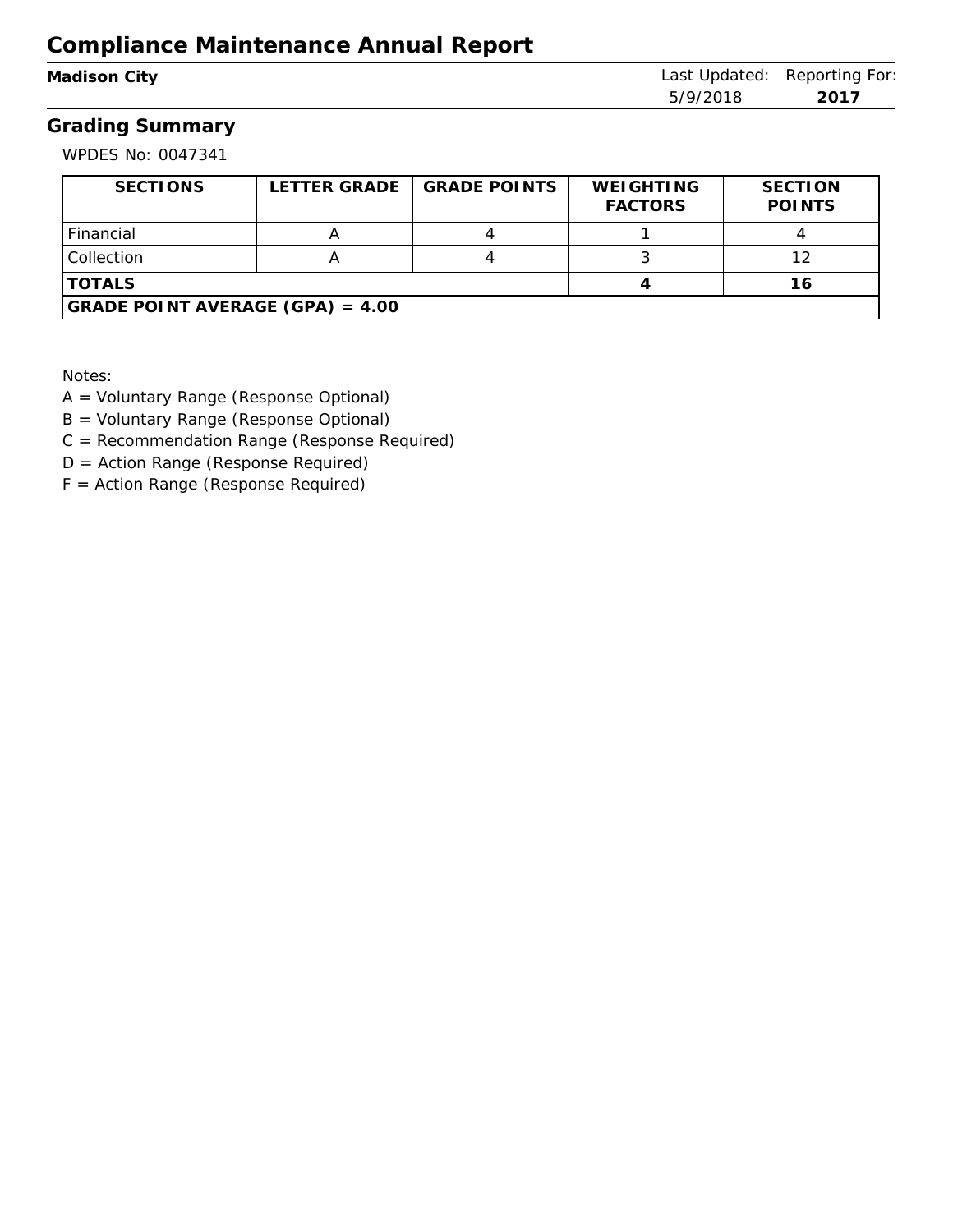| Madison City |  |
|--------------|--|
|--------------|--|

Last Updated: Reporting For: 5/9/2018 **2017**

#### **Grading Summary**

WPDES No: 0047341

| SECTIONS                           | LETTER GRADE | <b>GRADE POINTS</b> | <b>WEIGHTING</b><br><b>FACTORS</b> | <b>SECTION</b><br><b>POINTS</b> |
|------------------------------------|--------------|---------------------|------------------------------------|---------------------------------|
| Financial                          |              |                     |                                    |                                 |
| <b>Collection</b>                  |              |                     |                                    |                                 |
| <b>TOTALS</b>                      |              |                     |                                    |                                 |
| GRADE POINT AVERAGE $(GPA) = 4.00$ |              |                     |                                    |                                 |

Notes:

- A = Voluntary Range (Response Optional)
- B = Voluntary Range (Response Optional)
- C = Recommendation Range (Response Required)
- D = Action Range (Response Required)
- F = Action Range (Response Required)